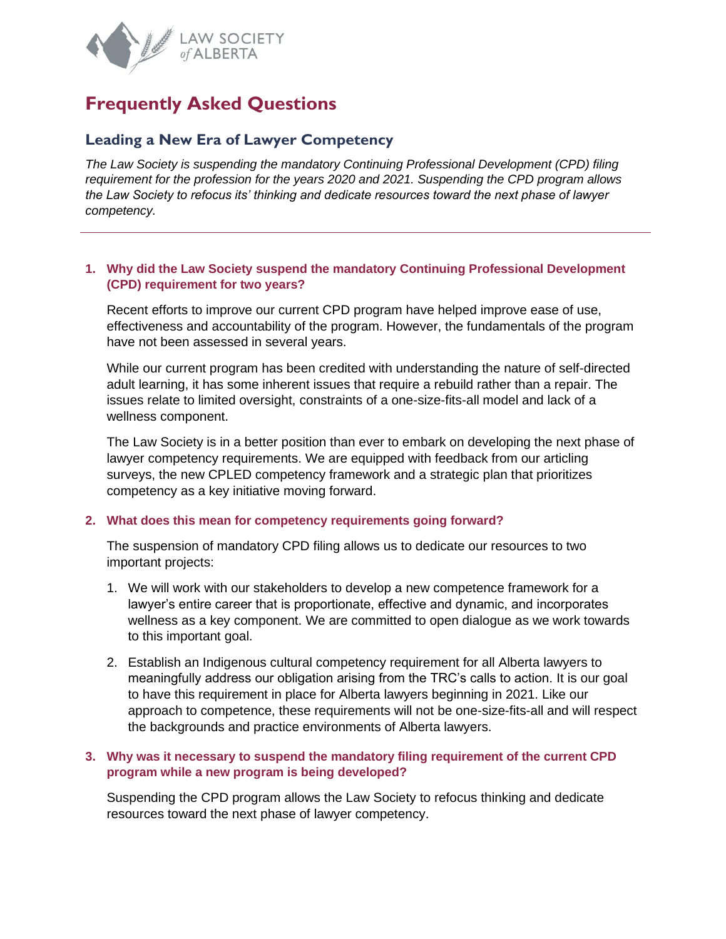

# **Frequently Asked Questions**

# **Leading a New Era of Lawyer Competency**

*The Law Society is suspending the mandatory Continuing Professional Development (CPD) filing requirement for the profession for the years 2020 and 2021. Suspending the CPD program allows the Law Society to refocus its' thinking and dedicate resources toward the next phase of lawyer competency.* 

#### **1. Why did the Law Society suspend the mandatory Continuing Professional Development (CPD) requirement for two years?**

Recent efforts to improve our current CPD program have helped improve ease of use, effectiveness and accountability of the program. However, the fundamentals of the program have not been assessed in several years.

While our current program has been credited with understanding the nature of self-directed adult learning, it has some inherent issues that require a rebuild rather than a repair. The issues relate to limited oversight, constraints of a one-size-fits-all model and lack of a wellness component.

The Law Society is in a better position than ever to embark on developing the next phase of lawyer competency requirements. We are equipped with feedback from our articling surveys, the new CPLED competency framework and a strategic plan that prioritizes competency as a key initiative moving forward.

#### **2. What does this mean for competency requirements going forward?**

The suspension of mandatory CPD filing allows us to dedicate our resources to two important projects:

- 1. We will work with our stakeholders to develop a new competence framework for a lawyer's entire career that is proportionate, effective and dynamic, and incorporates wellness as a key component. We are committed to open dialogue as we work towards to this important goal.
- 2. Establish an Indigenous cultural competency requirement for all Alberta lawyers to meaningfully address our obligation arising from the TRC's calls to action. It is our goal to have this requirement in place for Alberta lawyers beginning in 2021. Like our approach to competence, these requirements will not be one-size-fits-all and will respect the backgrounds and practice environments of Alberta lawyers.

#### **3. Why was it necessary to suspend the mandatory filing requirement of the current CPD program while a new program is being developed?**

Suspending the CPD program allows the Law Society to refocus thinking and dedicate resources toward the next phase of lawyer competency.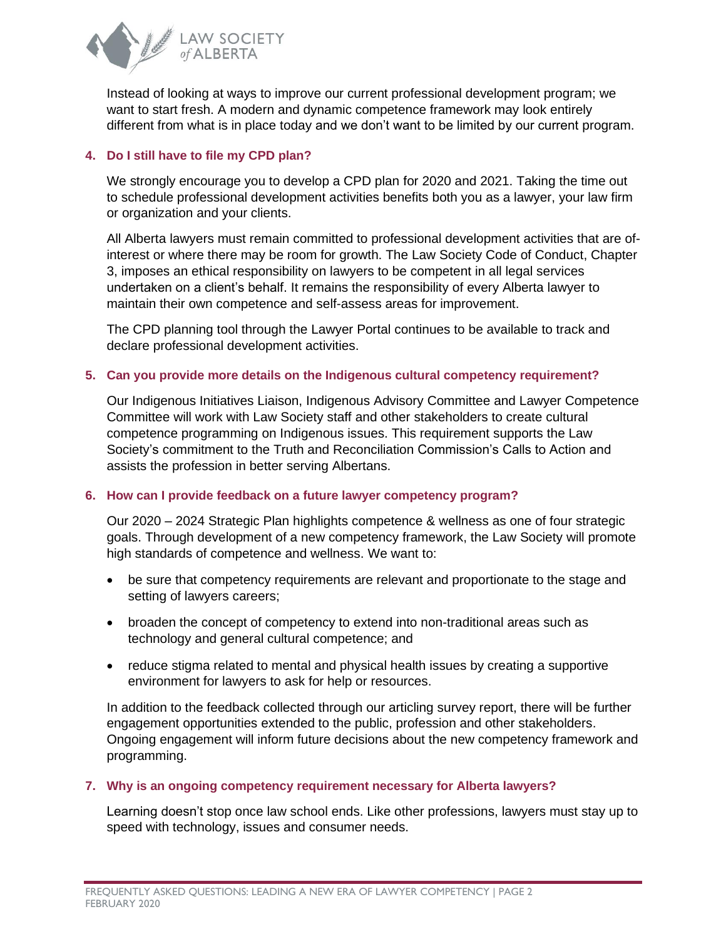

Instead of looking at ways to improve our current professional development program; we want to start fresh. A modern and dynamic competence framework may look entirely different from what is in place today and we don't want to be limited by our current program.

# **4. Do I still have to file my CPD plan?**

We strongly encourage you to develop a CPD plan for 2020 and 2021. Taking the time out to schedule professional development activities benefits both you as a lawyer, your law firm or organization and your clients.

All Alberta lawyers must remain committed to professional development activities that are ofinterest or where there may be room for growth. The Law Society Code of Conduct, Chapter 3, imposes an ethical responsibility on lawyers to be competent in all legal services undertaken on a client's behalf. It remains the responsibility of every Alberta lawyer to maintain their own competence and self-assess areas for improvement.

The CPD planning tool through the Lawyer Portal continues to be available to track and declare professional development activities.

# **5. Can you provide more details on the Indigenous cultural competency requirement?**

Our Indigenous Initiatives Liaison, Indigenous Advisory Committee and Lawyer Competence Committee will work with Law Society staff and other stakeholders to create cultural competence programming on Indigenous issues. This requirement supports the Law Society's commitment to the Truth and Reconciliation Commission's Calls to Action and assists the profession in better serving Albertans.

# **6. How can I provide feedback on a future lawyer competency program?**

Our 2020 – 2024 Strategic Plan highlights competence & wellness as one of four strategic goals. Through development of a new competency framework, the Law Society will promote high standards of competence and wellness. We want to:

- be sure that competency requirements are relevant and proportionate to the stage and setting of lawyers careers;
- broaden the concept of competency to extend into non-traditional areas such as technology and general cultural competence; and
- reduce stigma related to mental and physical health issues by creating a supportive environment for lawyers to ask for help or resources.

In addition to the feedback collected through our articling survey report, there will be further engagement opportunities extended to the public, profession and other stakeholders. Ongoing engagement will inform future decisions about the new competency framework and programming.

#### **7. Why is an ongoing competency requirement necessary for Alberta lawyers?**

Learning doesn't stop once law school ends. Like other professions, lawyers must stay up to speed with technology, issues and consumer needs.